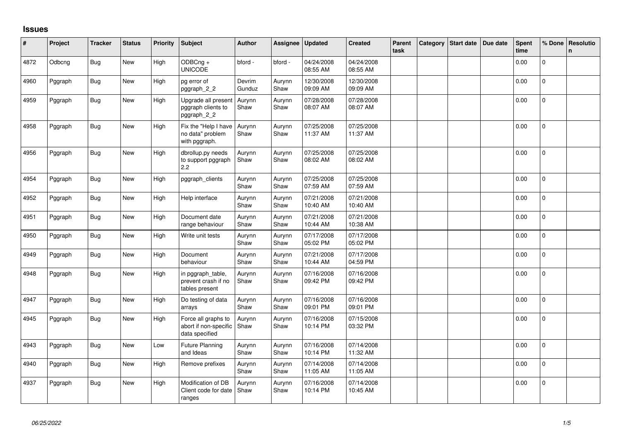## **Issues**

| #    | Project | <b>Tracker</b> | <b>Status</b> | <b>Priority</b> | <b>Subject</b>                                                 | <b>Author</b>    | Assignee       | <b>Updated</b>         | <b>Created</b>         | Parent<br>task | Category | Start date | Due date | Spent<br>time | % Done       | <b>Resolutio</b><br>n |
|------|---------|----------------|---------------|-----------------|----------------------------------------------------------------|------------------|----------------|------------------------|------------------------|----------------|----------|------------|----------|---------------|--------------|-----------------------|
| 4872 | Odbcng  | <b>Bug</b>     | New           | High            | ODBCng +<br><b>UNICODE</b>                                     | bford -          | bford -        | 04/24/2008<br>08:55 AM | 04/24/2008<br>08:55 AM |                |          |            |          | 0.00          | $\Omega$     |                       |
| 4960 | Pggraph | Bug            | New           | High            | pg error of<br>pggraph_2_2                                     | Devrim<br>Gunduz | Aurynn<br>Shaw | 12/30/2008<br>09:09 AM | 12/30/2008<br>09:09 AM |                |          |            |          | 0.00          | 0            |                       |
| 4959 | Pggraph | <b>Bug</b>     | New           | High            | Upgrade all present<br>pggraph clients to<br>pggraph_2_2       | Aurynn<br>Shaw   | Aurynn<br>Shaw | 07/28/2008<br>08:07 AM | 07/28/2008<br>08:07 AM |                |          |            |          | 0.00          | $\Omega$     |                       |
| 4958 | Pggraph | <b>Bug</b>     | New           | High            | Fix the "Help I have<br>no data" problem<br>with pggraph.      | Aurynn<br>Shaw   | Aurynn<br>Shaw | 07/25/2008<br>11:37 AM | 07/25/2008<br>11:37 AM |                |          |            |          | 0.00          | $\mathbf{0}$ |                       |
| 4956 | Pggraph | <b>Bug</b>     | New           | High            | dbrollup.py needs<br>to support pggraph<br>2.2                 | Aurynn<br>Shaw   | Aurynn<br>Shaw | 07/25/2008<br>08:02 AM | 07/25/2008<br>08:02 AM |                |          |            |          | 0.00          | $\mathbf 0$  |                       |
| 4954 | Pggraph | Bug            | New           | High            | pggraph_clients                                                | Aurynn<br>Shaw   | Aurynn<br>Shaw | 07/25/2008<br>07:59 AM | 07/25/2008<br>07:59 AM |                |          |            |          | 0.00          | $\Omega$     |                       |
| 4952 | Pggraph | <b>Bug</b>     | New           | High            | Help interface                                                 | Aurynn<br>Shaw   | Aurynn<br>Shaw | 07/21/2008<br>10:40 AM | 07/21/2008<br>10:40 AM |                |          |            |          | 0.00          | $\Omega$     |                       |
| 4951 | Pggraph | <b>Bug</b>     | <b>New</b>    | High            | Document date<br>range behaviour                               | Aurynn<br>Shaw   | Aurynn<br>Shaw | 07/21/2008<br>10:44 AM | 07/21/2008<br>10:38 AM |                |          |            |          | 0.00          | $\Omega$     |                       |
| 4950 | Pggraph | <b>Bug</b>     | New           | High            | Write unit tests                                               | Aurynn<br>Shaw   | Aurynn<br>Shaw | 07/17/2008<br>05:02 PM | 07/17/2008<br>05:02 PM |                |          |            |          | 0.00          | $\mathbf 0$  |                       |
| 4949 | Pggraph | <b>Bug</b>     | New           | High            | Document<br>behaviour                                          | Aurynn<br>Shaw   | Aurynn<br>Shaw | 07/21/2008<br>10:44 AM | 07/17/2008<br>04:59 PM |                |          |            |          | 0.00          | $\mathbf 0$  |                       |
| 4948 | Pggraph | <b>Bug</b>     | New           | High            | in pggraph table,<br>prevent crash if no<br>tables present     | Aurynn<br>Shaw   | Aurynn<br>Shaw | 07/16/2008<br>09:42 PM | 07/16/2008<br>09:42 PM |                |          |            |          | 0.00          | $\mathbf 0$  |                       |
| 4947 | Pggraph | <b>Bug</b>     | <b>New</b>    | High            | Do testing of data<br>arrays                                   | Aurynn<br>Shaw   | Aurynn<br>Shaw | 07/16/2008<br>09:01 PM | 07/16/2008<br>09:01 PM |                |          |            |          | 0.00          | $\mathbf{0}$ |                       |
| 4945 | Pggraph | <b>Bug</b>     | New           | High            | Force all graphs to<br>abort if non-specific<br>data specified | Aurynn<br>Shaw   | Aurynn<br>Shaw | 07/16/2008<br>10:14 PM | 07/15/2008<br>03:32 PM |                |          |            |          | 0.00          | $\mathbf 0$  |                       |
| 4943 | Pggraph | Bug            | <b>New</b>    | Low             | Future Planning<br>and Ideas                                   | Aurynn<br>Shaw   | Aurynn<br>Shaw | 07/16/2008<br>10:14 PM | 07/14/2008<br>11:32 AM |                |          |            |          | 0.00          | $\Omega$     |                       |
| 4940 | Pggraph | <b>Bug</b>     | New           | High            | Remove prefixes                                                | Aurynn<br>Shaw   | Aurynn<br>Shaw | 07/14/2008<br>11:05 AM | 07/14/2008<br>11:05 AM |                |          |            |          | 0.00          | $\Omega$     |                       |
| 4937 | Pggraph | <b>Bug</b>     | New           | High            | Modification of DB<br>Client code for date<br>ranges           | Aurynn<br>Shaw   | Aurynn<br>Shaw | 07/16/2008<br>10:14 PM | 07/14/2008<br>10:45 AM |                |          |            |          | 0.00          | $\Omega$     |                       |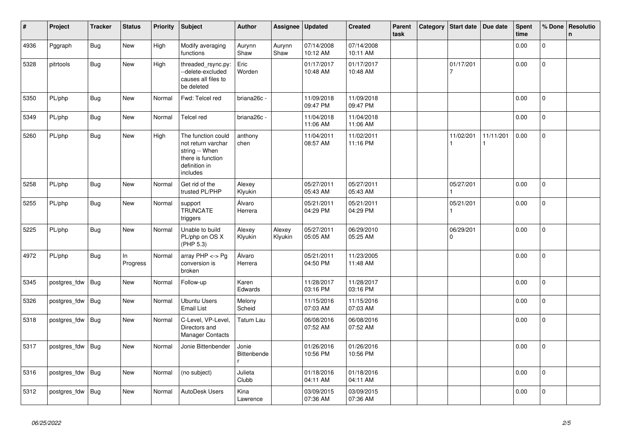| #    | Project      | <b>Tracker</b> | <b>Status</b>  | <b>Priority</b> | <b>Subject</b>                                                                                               | <b>Author</b>        | Assignee          | <b>Updated</b>         | <b>Created</b>         | Parent<br>task | Category | Start date            | Due date  | <b>Spent</b><br>time | % Done       | Resolutio<br>$\mathsf{n}$ |
|------|--------------|----------------|----------------|-----------------|--------------------------------------------------------------------------------------------------------------|----------------------|-------------------|------------------------|------------------------|----------------|----------|-----------------------|-----------|----------------------|--------------|---------------------------|
| 4936 | Pggraph      | <b>Bug</b>     | <b>New</b>     | High            | Modify averaging<br>functions                                                                                | Aurynn<br>Shaw       | Aurynn<br>Shaw    | 07/14/2008<br>10:12 AM | 07/14/2008<br>10:11 AM |                |          |                       |           | 0.00                 | $\mathbf 0$  |                           |
| 5328 | pitrtools    | <b>Bug</b>     | New            | High            | threaded rsync.py:<br>--delete-excluded<br>causes all files to<br>be deleted                                 | Eric<br>Worden       |                   | 01/17/2017<br>10:48 AM | 01/17/2017<br>10:48 AM |                |          | 01/17/201<br>7        |           | 0.00                 | $\mathbf 0$  |                           |
| 5350 | PL/php       | <b>Bug</b>     | New            | Normal          | Fwd: Telcel red                                                                                              | briana26c -          |                   | 11/09/2018<br>09:47 PM | 11/09/2018<br>09:47 PM |                |          |                       |           | 0.00                 | $\Omega$     |                           |
| 5349 | PL/php       | <b>Bug</b>     | <b>New</b>     | Normal          | <b>Telcel red</b>                                                                                            | briana26c -          |                   | 11/04/2018<br>11:06 AM | 11/04/2018<br>11:06 AM |                |          |                       |           | 0.00                 | $\mathbf 0$  |                           |
| 5260 | PL/php       | Bug            | <b>New</b>     | High            | The function could<br>not return varchar<br>string -- When<br>there is function<br>definition in<br>includes | anthony<br>chen      |                   | 11/04/2011<br>08:57 AM | 11/02/2011<br>11:16 PM |                |          | 11/02/201             | 11/11/201 | 0.00                 | $\mathsf{O}$ |                           |
| 5258 | PL/php       | <b>Bug</b>     | <b>New</b>     | Normal          | Get rid of the<br>trusted PL/PHP                                                                             | Alexey<br>Klyukin    |                   | 05/27/2011<br>05:43 AM | 05/27/2011<br>05:43 AM |                |          | 05/27/201             |           | 0.00                 | $\mathbf 0$  |                           |
| 5255 | PL/php       | Bug            | <b>New</b>     | Normal          | support<br><b>TRUNCATE</b><br>triggers                                                                       | Álvaro<br>Herrera    |                   | 05/21/2011<br>04:29 PM | 05/21/2011<br>04:29 PM |                |          | 05/21/201             |           | 0.00                 | $\pmb{0}$    |                           |
| 5225 | PL/php       | <b>Bug</b>     | <b>New</b>     | Normal          | Unable to build<br>PL/php on OS X<br>(PHP 5.3)                                                               | Alexey<br>Klyukin    | Alexey<br>Klyukin | 05/27/2011<br>05:05 AM | 06/29/2010<br>05:25 AM |                |          | 06/29/201<br>$\Omega$ |           | 0.00                 | $\mathbf 0$  |                           |
| 4972 | PL/php       | <b>Bug</b>     | In<br>Progress | Normal          | array $PHP \lt\gt Pg$<br>conversion is<br>broken                                                             | Álvaro<br>Herrera    |                   | 05/21/2011<br>04:50 PM | 11/23/2005<br>11:48 AM |                |          |                       |           | 0.00                 | $\mathbf 0$  |                           |
| 5345 | postgres_fdw | <b>Bug</b>     | <b>New</b>     | Normal          | Follow-up                                                                                                    | Karen<br>Edwards     |                   | 11/28/2017<br>03:16 PM | 11/28/2017<br>03:16 PM |                |          |                       |           | 0.00                 | $\mathbf 0$  |                           |
| 5326 | postgres_fdw | <b>Bug</b>     | <b>New</b>     | Normal          | <b>Ubuntu Users</b><br><b>Email List</b>                                                                     | Melony<br>Scheid     |                   | 11/15/2016<br>07:03 AM | 11/15/2016<br>07:03 AM |                |          |                       |           | 0.00                 | $\mathbf 0$  |                           |
| 5318 | postgres_fdw | Bug            | <b>New</b>     | Normal          | C-Level, VP-Level,<br>Directors and<br><b>Manager Contacts</b>                                               | Tatum Lau            |                   | 06/08/2016<br>07:52 AM | 06/08/2016<br>07:52 AM |                |          |                       |           | 0.00                 | $\mathsf{O}$ |                           |
| 5317 | postgres_fdw | <b>Bug</b>     | New            | Normal          | Jonie Bittenbender                                                                                           | Jonie<br>Bittenbende |                   | 01/26/2016<br>10:56 PM | 01/26/2016<br>10:56 PM |                |          |                       |           | 0.00                 | $\mathbf{0}$ |                           |
| 5316 | postgres_fdw | Bug            | New            | Normal          | (no subject)                                                                                                 | Julieta<br>Clubb     |                   | 01/18/2016<br>04:11 AM | 01/18/2016<br>04:11 AM |                |          |                       |           | 0.00                 | $\Omega$     |                           |
| 5312 | postgres fdw | Bug            | New            | Normal          | AutoDesk Users                                                                                               | Kina<br>Lawrence     |                   | 03/09/2015<br>07:36 AM | 03/09/2015<br>07:36 AM |                |          |                       |           | 0.00                 | $\mathbf{0}$ |                           |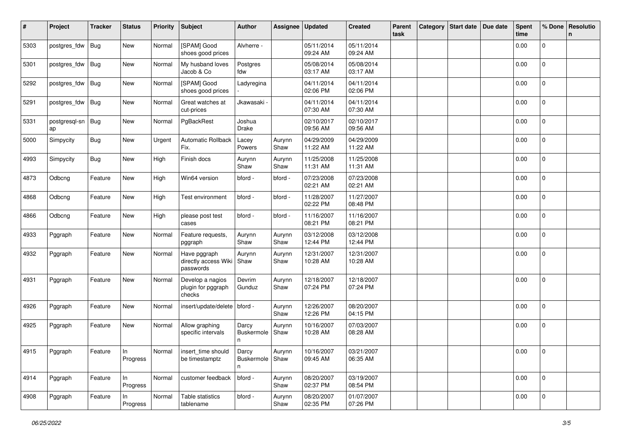| #    | Project                 | <b>Tracker</b> | <b>Status</b>     | <b>Priority</b> | <b>Subject</b>                                    | <b>Author</b>                            | Assignee       | <b>Updated</b>         | <b>Created</b>         | Parent<br>task | Category | Start date   Due date | Spent<br>time | % Done         | Resolutio<br>n |
|------|-------------------------|----------------|-------------------|-----------------|---------------------------------------------------|------------------------------------------|----------------|------------------------|------------------------|----------------|----------|-----------------------|---------------|----------------|----------------|
| 5303 | postgres_fdw            | <b>Bug</b>     | New               | Normal          | [SPAM] Good<br>shoes good prices                  | Alvherre -                               |                | 05/11/2014<br>09:24 AM | 05/11/2014<br>09:24 AM |                |          |                       | 0.00          | $\mathbf 0$    |                |
| 5301 | postgres_fdw            | Bug            | New               | Normal          | My husband loves<br>Jacob & Co                    | Postgres<br>fdw                          |                | 05/08/2014<br>03:17 AM | 05/08/2014<br>03:17 AM |                |          |                       | 0.00          | $\mathbf 0$    |                |
| 5292 | postgres_fdw            | Bug            | New               | Normal          | [SPAM] Good<br>shoes good prices                  | Ladyregina                               |                | 04/11/2014<br>02:06 PM | 04/11/2014<br>02:06 PM |                |          |                       | 0.00          | 0              |                |
| 5291 | postgres_fdw            | <b>Bug</b>     | New               | Normal          | Great watches at<br>cut-prices                    | Jkawasaki -                              |                | 04/11/2014<br>07:30 AM | 04/11/2014<br>07:30 AM |                |          |                       | 0.00          | 0              |                |
| 5331 | postgresql-sn Bug<br>ap |                | New               | Normal          | PgBackRest                                        | Joshua<br>Drake                          |                | 02/10/2017<br>09:56 AM | 02/10/2017<br>09:56 AM |                |          |                       | 0.00          | $\overline{0}$ |                |
| 5000 | Simpycity               | <b>Bug</b>     | New               | Urgent          | Automatic Rollback<br>Fix.                        | Lacey<br>Powers                          | Aurynn<br>Shaw | 04/29/2009<br>11:22 AM | 04/29/2009<br>11:22 AM |                |          |                       | 0.00          | 0              |                |
| 4993 | Simpycity               | <b>Bug</b>     | New               | High            | Finish docs                                       | Aurynn<br>Shaw                           | Aurynn<br>Shaw | 11/25/2008<br>11:31 AM | 11/25/2008<br>11:31 AM |                |          |                       | 0.00          | $\mathbf{0}$   |                |
| 4873 | Odbcng                  | Feature        | New               | High            | Win64 version                                     | bford -                                  | bford -        | 07/23/2008<br>02:21 AM | 07/23/2008<br>02:21 AM |                |          |                       | 0.00          | $\mathbf 0$    |                |
| 4868 | Odbcng                  | Feature        | New               | High            | Test environment                                  | bford -                                  | bford -        | 11/28/2007<br>02:22 PM | 11/27/2007<br>08:48 PM |                |          |                       | 0.00          | $\mathbf 0$    |                |
| 4866 | Odbcng                  | Feature        | New               | High            | please post test<br>cases                         | bford -                                  | bford -        | 11/16/2007<br>08:21 PM | 11/16/2007<br>08:21 PM |                |          |                       | 0.00          | 0              |                |
| 4933 | Pggraph                 | Feature        | New               | Normal          | Feature requests.<br>pggraph                      | Aurynn<br>Shaw                           | Aurynn<br>Shaw | 03/12/2008<br>12:44 PM | 03/12/2008<br>12:44 PM |                |          |                       | 0.00          | 0              |                |
| 4932 | Pggraph                 | Feature        | New               | Normal          | Have pggraph<br>directly access Wiki<br>passwords | Aurynn<br>Shaw                           | Aurynn<br>Shaw | 12/31/2007<br>10:28 AM | 12/31/2007<br>10:28 AM |                |          |                       | 0.00          | 0              |                |
| 4931 | Pggraph                 | Feature        | New               | Normal          | Develop a nagios<br>plugin for pggraph<br>checks  | Devrim<br>Gunduz                         | Aurynn<br>Shaw | 12/18/2007<br>07:24 PM | 12/18/2007<br>07:24 PM |                |          |                       | 0.00          | 0              |                |
| 4926 | Pggraph                 | Feature        | New               | Normal          | insert/update/delete   bford -                    |                                          | Aurynn<br>Shaw | 12/26/2007<br>12:26 PM | 08/20/2007<br>04:15 PM |                |          |                       | 0.00          | $\mathbf 0$    |                |
| 4925 | Pggraph                 | Feature        | New               | Normal          | Allow graphing<br>specific intervals              | Darcy<br>Buskermole<br>n                 | Aurynn<br>Shaw | 10/16/2007<br>10:28 AM | 07/03/2007<br>08:28 AM |                |          |                       | 0.00          | $\mathbf 0$    |                |
| 4915 | Pggraph                 | Feature        | $\ln$<br>Progress |                 | Normal   insert_time should<br>be timestamptz     | $\vert$ Darcy<br>Buskermole   Shaw<br>n. | Aurynn         | 10/16/2007<br>09:45 AM | 03/21/2007<br>06:35 AM |                |          |                       | 0.00          | 0              |                |
| 4914 | Pggraph                 | Feature        | In<br>Progress    | Normal          | customer feedback                                 | bford -                                  | Aurynn<br>Shaw | 08/20/2007<br>02:37 PM | 03/19/2007<br>08:54 PM |                |          |                       | 0.00          | $\mathbf{0}$   |                |
| 4908 | Pggraph                 | Feature        | In<br>Progress    | Normal          | Table statistics<br>tablename                     | bford -                                  | Aurynn<br>Shaw | 08/20/2007<br>02:35 PM | 01/07/2007<br>07:26 PM |                |          |                       | 0.00          | $\Omega$       |                |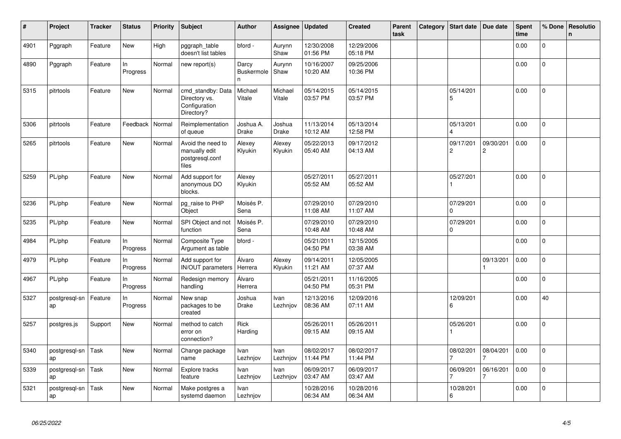| #    | Project             | <b>Tracker</b> | <b>Status</b>   | Priority | Subject                                                           | <b>Author</b>                   | Assignee          | <b>Updated</b>         | <b>Created</b>         | Parent<br>task | Category | <b>Start date</b>           | Due date                    | Spent<br>time | % Done         | <b>Resolutio</b><br>$\mathsf{n}$ |
|------|---------------------|----------------|-----------------|----------|-------------------------------------------------------------------|---------------------------------|-------------------|------------------------|------------------------|----------------|----------|-----------------------------|-----------------------------|---------------|----------------|----------------------------------|
| 4901 | Pggraph             | Feature        | New             | High     | pggraph table<br>doesn't list tables                              | bford -                         | Aurynn<br>Shaw    | 12/30/2008<br>01:56 PM | 12/29/2006<br>05:18 PM |                |          |                             |                             | 0.00          | 0              |                                  |
| 4890 | Pggraph             | Feature        | In<br>Progress  | Normal   | new report(s)                                                     | Darcy<br><b>Buskermole</b><br>n | Aurynn<br>Shaw    | 10/16/2007<br>10:20 AM | 09/25/2006<br>10:36 PM |                |          |                             |                             | 0.00          | $\mathsf{O}$   |                                  |
| 5315 | pitrtools           | Feature        | <b>New</b>      | Normal   | cmd_standby: Data<br>Directory vs.<br>Configuration<br>Directory? | Michael<br>Vitale               | Michael<br>Vitale | 05/14/2015<br>03:57 PM | 05/14/2015<br>03:57 PM |                |          | 05/14/201<br>5              |                             | 0.00          | $\mathbf 0$    |                                  |
| 5306 | pitrtools           | Feature        | Feedback        | Normal   | Reimplementation<br>of queue                                      | Joshua A.<br>Drake              | Joshua<br>Drake   | 11/13/2014<br>10:12 AM | 05/13/2014<br>12:58 PM |                |          | 05/13/201                   |                             | 0.00          | 0              |                                  |
| 5265 | pitrtools           | Feature        | New             | Normal   | Avoid the need to<br>manually edit<br>postgresql.conf<br>files    | Alexey<br>Klyukin               | Alexey<br>Klyukin | 05/22/2013<br>05:40 AM | 09/17/2012<br>04:13 AM |                |          | 09/17/201<br>$\overline{c}$ | 09/30/201<br>$\overline{c}$ | 0.00          | 0              |                                  |
| 5259 | PL/php              | Feature        | New             | Normal   | Add support for<br>anonymous DO<br>blocks.                        | Alexey<br>Klyukin               |                   | 05/27/2011<br>05:52 AM | 05/27/2011<br>05:52 AM |                |          | 05/27/201                   |                             | 0.00          | $\overline{0}$ |                                  |
| 5236 | PL/php              | Feature        | New             | Normal   | pg_raise to PHP<br>Object                                         | Moisés P.<br>Sena               |                   | 07/29/2010<br>11:08 AM | 07/29/2010<br>11:07 AM |                |          | 07/29/201<br>$\Omega$       |                             | 0.00          | $\Omega$       |                                  |
| 5235 | PL/php              | Feature        | <b>New</b>      | Normal   | SPI Object and not<br>function                                    | Moisés P.<br>Sena               |                   | 07/29/2010<br>10:48 AM | 07/29/2010<br>10:48 AM |                |          | 07/29/201<br>$\Omega$       |                             | 0.00          | 0              |                                  |
| 4984 | PL/php              | Feature        | ln.<br>Progress | Normal   | Composite Type<br>Argument as table                               | bford -                         |                   | 05/21/2011<br>04:50 PM | 12/15/2005<br>03:38 AM |                |          |                             |                             | 0.00          | $\overline{0}$ |                                  |
| 4979 | PL/php              | Feature        | ln.<br>Progress | Normal   | Add support for<br>IN/OUT parameters                              | Álvaro<br>Herrera               | Alexey<br>Klyukin | 09/14/2011<br>11:21 AM | 12/05/2005<br>07:37 AM |                |          |                             | 09/13/201                   | 0.00          | $\Omega$       |                                  |
| 4967 | PL/php              | Feature        | In<br>Progress  | Normal   | Redesign memory<br>handling                                       | Álvaro<br>Herrera               |                   | 05/21/2011<br>04:50 PM | 11/16/2005<br>05:31 PM |                |          |                             |                             | 0.00          | $\overline{0}$ |                                  |
| 5327 | postgresql-sn<br>ap | Feature        | In<br>Progress  | Normal   | New snap<br>packages to be<br>created                             | Joshua<br>Drake                 | Ivan<br>Lezhnjov  | 12/13/2016<br>08:36 AM | 12/09/2016<br>07:11 AM |                |          | 12/09/201<br>6              |                             | 0.00          | 40             |                                  |
| 5257 | postgres.js         | Support        | New             | Normal   | method to catch<br>error on<br>connection?                        | Rick<br>Harding                 |                   | 05/26/2011<br>09:15 AM | 05/26/2011<br>09:15 AM |                |          | 05/26/201                   |                             | 0.00          | $\overline{0}$ |                                  |
| 5340 | postgresgl-sn<br>ap | Task           | New             | Normal   | Change package<br>name                                            | Ivan<br>Lezhnjov                | Ivan<br>Lezhnjov  | 08/02/2017<br>11:44 PM | 08/02/2017<br>11:44 PM |                |          | 08/02/201                   | 08/04/201                   | 0.00          | $\mathbf 0$    |                                  |
| 5339 | postgresql-sn<br>ap | Task           | New             | Normal   | Explore tracks<br>feature                                         | Ivan<br>Lezhnjov                | Ivan<br>Lezhnjov  | 06/09/2017<br>03:47 AM | 06/09/2017<br>03:47 AM |                |          | 06/09/201                   | 06/16/201                   | 0.00          | 0              |                                  |
| 5321 | postgresql-sn<br>ap | Task           | New             | Normal   | Make postgres a<br>systemd daemon                                 | Ivan<br>Lezhnjov                |                   | 10/28/2016<br>06:34 AM | 10/28/2016<br>06:34 AM |                |          | 10/28/201<br>6              |                             | 0.00          | $\overline{0}$ |                                  |